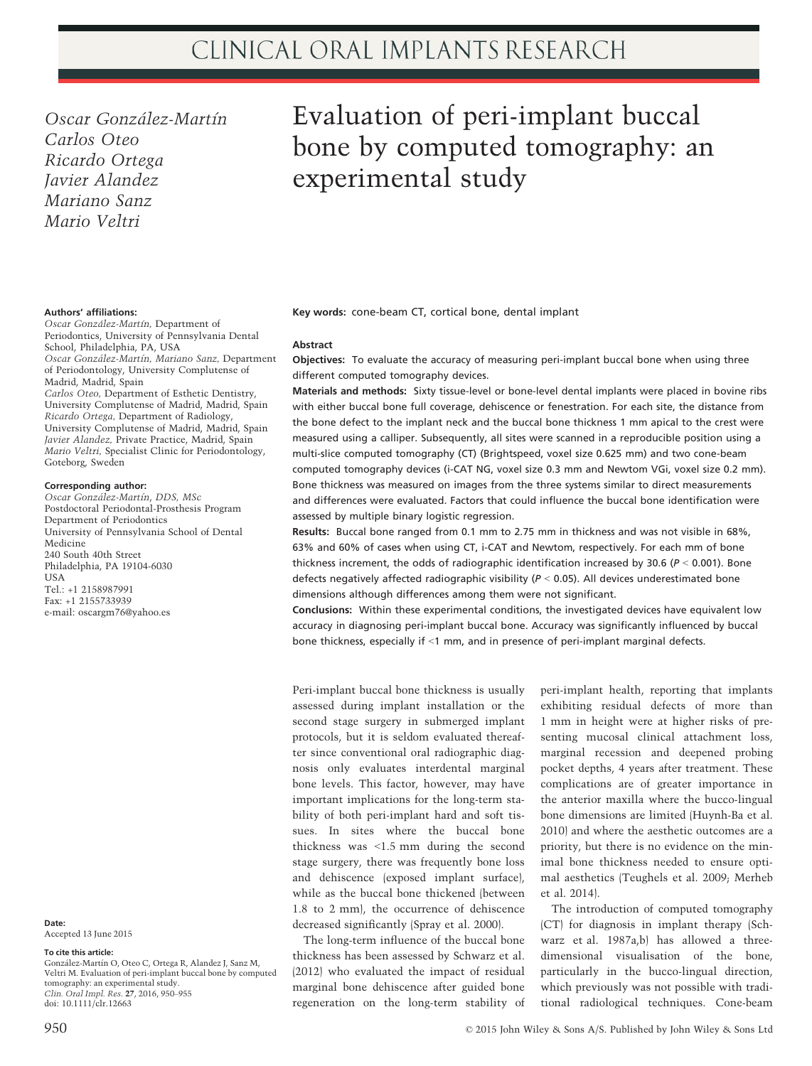Oscar González-Martín Carlos Oteo Ricardo Ortega Javier Alandez Mariano Sanz Mario Veltri

## Authors' affiliations:

Oscar González-Martín, Department of Periodontics, University of Pennsylvania Dental School, Philadelphia, PA, USA Oscar González-Martín, Mariano Sanz, Department of Periodontology, University Complutense of Madrid, Madrid, Spain

Carlos Oteo, Department of Esthetic Dentistry, University Complutense of Madrid, Madrid, Spain Ricardo Ortega, Department of Radiology, University Complutense of Madrid, Madrid, Spain Javier Alandez, Private Practice, Madrid, Spain Mario Veltri, Specialist Clinic for Periodontology, Goteborg, Sweden

#### Corresponding author:

Oscar González-Martín, DDS, MSc Postdoctoral Periodontal-Prosthesis Program Department of Periodontics University of Pennsylvania School of Dental Medicine 240 South 40th Street Philadelphia, PA 19104-6030 **TISA** Tel.: +1 2158987991 Fax: +1 2155733939 e-mail: oscargm76@yahoo.es

Date: Accepted 13 June 2015

### To cite this article:

González-Martín O, Oteo C, Ortega R, Alandez J, Sanz M, Veltri M. Evaluation of peri-implant buccal bone by computed tomography: an experimental study. Clin. Oral Impl. Res. 27, 2016, 950–955 doi: 10.1111/clr.12663

# Evaluation of peri-implant buccal bone by computed tomography: an experimental study

Key words: cone-beam CT, cortical bone, dental implant

#### Abstract

Objectives: To evaluate the accuracy of measuring peri-implant buccal bone when using three different computed tomography devices.

Materials and methods: Sixty tissue-level or bone-level dental implants were placed in bovine ribs with either buccal bone full coverage, dehiscence or fenestration. For each site, the distance from the bone defect to the implant neck and the buccal bone thickness 1 mm apical to the crest were measured using a calliper. Subsequently, all sites were scanned in a reproducible position using a multi-slice computed tomography (CT) (Brightspeed, voxel size 0.625 mm) and two cone-beam computed tomography devices (i-CAT NG, voxel size 0.3 mm and Newtom VGi, voxel size 0.2 mm). Bone thickness was measured on images from the three systems similar to direct measurements and differences were evaluated. Factors that could influence the buccal bone identification were assessed by multiple binary logistic regression.

Results: Buccal bone ranged from 0.1 mm to 2.75 mm in thickness and was not visible in 68%, 63% and 60% of cases when using CT, i-CAT and Newtom, respectively. For each mm of bone thickness increment, the odds of radiographic identification increased by 30.6 ( $P < 0.001$ ). Bone defects negatively affected radiographic visibility ( $P < 0.05$ ). All devices underestimated bone dimensions although differences among them were not significant.

Conclusions: Within these experimental conditions, the investigated devices have equivalent low accuracy in diagnosing peri-implant buccal bone. Accuracy was significantly influenced by buccal bone thickness, especially if <1 mm, and in presence of peri-implant marginal defects.

Peri-implant buccal bone thickness is usually assessed during implant installation or the second stage surgery in submerged implant protocols, but it is seldom evaluated thereafter since conventional oral radiographic diagnosis only evaluates interdental marginal bone levels. This factor, however, may have important implications for the long-term stability of both peri-implant hard and soft tissues. In sites where the buccal bone thickness was <1.5 mm during the second stage surgery, there was frequently bone loss and dehiscence (exposed implant surface), while as the buccal bone thickened (between 1.8 to 2 mm), the occurrence of dehiscence decreased significantly (Spray et al. 2000).

The long-term influence of the buccal bone thickness has been assessed by Schwarz et al. (2012) who evaluated the impact of residual marginal bone dehiscence after guided bone regeneration on the long-term stability of

peri-implant health, reporting that implants exhibiting residual defects of more than 1 mm in height were at higher risks of presenting mucosal clinical attachment loss, marginal recession and deepened probing pocket depths, 4 years after treatment. These complications are of greater importance in the anterior maxilla where the bucco-lingual bone dimensions are limited (Huynh-Ba et al. 2010) and where the aesthetic outcomes are a priority, but there is no evidence on the minimal bone thickness needed to ensure optimal aesthetics (Teughels et al. 2009; Merheb et al. 2014).

The introduction of computed tomography (CT) for diagnosis in implant therapy (Schwarz et al. 1987a,b) has allowed a threedimensional visualisation of the bone, particularly in the bucco-lingual direction, which previously was not possible with traditional radiological techniques. Cone-beam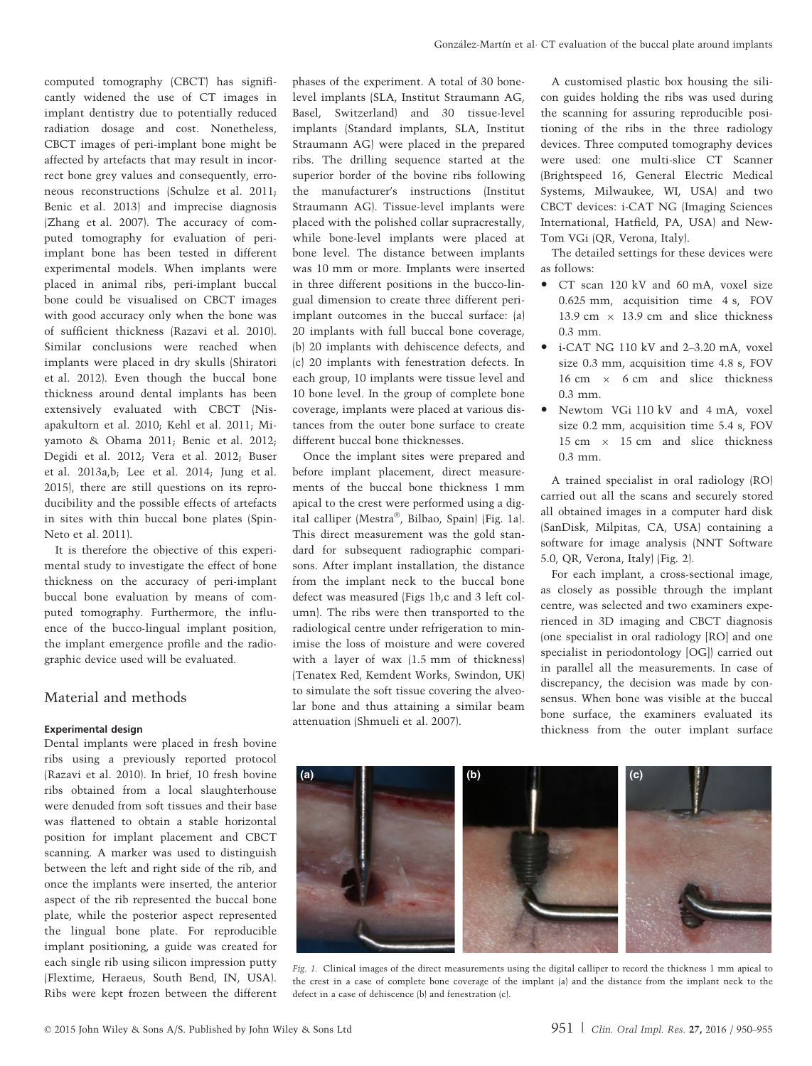computed tomography (CBCT) has significantly widened the use of CT images in implant dentistry due to potentially reduced radiation dosage and cost. Nonetheless, CBCT images of peri-implant bone might be affected by artefacts that may result in incorrect bone grey values and consequently, erroneous reconstructions (Schulze et al. 2011; Benic et al. 2013) and imprecise diagnosis (Zhang et al. 2007). The accuracy of computed tomography for evaluation of periimplant bone has been tested in different experimental models. When implants were placed in animal ribs, peri-implant buccal bone could be visualised on CBCT images with good accuracy only when the bone was of sufficient thickness (Razavi et al. 2010). Similar conclusions were reached when implants were placed in dry skulls (Shiratori et al. 2012). Even though the buccal bone thickness around dental implants has been extensively evaluated with CBCT (Nisapakultorn et al. 2010; Kehl et al. 2011; Miyamoto & Obama 2011; Benic et al. 2012; Degidi et al. 2012; Vera et al. 2012; Buser et al. 2013a,b; Lee et al. 2014; Jung et al. 2015), there are still questions on its reproducibility and the possible effects of artefacts in sites with thin buccal bone plates (Spin-Neto et al. 2011).

It is therefore the objective of this experimental study to investigate the effect of bone thickness on the accuracy of peri-implant buccal bone evaluation by means of computed tomography. Furthermore, the influence of the bucco-lingual implant position, the implant emergence profile and the radiographic device used will be evaluated.

## Material and methods

## Experimental design

Dental implants were placed in fresh bovine ribs using a previously reported protocol (Razavi et al. 2010). In brief, 10 fresh bovine ribs obtained from a local slaughterhouse were denuded from soft tissues and their base was flattened to obtain a stable horizontal position for implant placement and CBCT scanning. A marker was used to distinguish between the left and right side of the rib, and once the implants were inserted, the anterior aspect of the rib represented the buccal bone plate, while the posterior aspect represented the lingual bone plate. For reproducible implant positioning, a guide was created for each single rib using silicon impression putty (Flextime, Heraeus, South Bend, IN, USA). Ribs were kept frozen between the different phases of the experiment. A total of 30 bonelevel implants (SLA, Institut Straumann AG, Basel, Switzerland) and 30 tissue-level implants (Standard implants, SLA, Institut Straumann AG) were placed in the prepared ribs. The drilling sequence started at the superior border of the bovine ribs following the manufacturer's instructions (Institut Straumann AG). Tissue-level implants were placed with the polished collar supracrestally, while bone-level implants were placed at bone level. The distance between implants was 10 mm or more. Implants were inserted in three different positions in the bucco-lingual dimension to create three different periimplant outcomes in the buccal surface: (a) 20 implants with full buccal bone coverage, (b) 20 implants with dehiscence defects, and (c) 20 implants with fenestration defects. In each group, 10 implants were tissue level and 10 bone level. In the group of complete bone coverage, implants were placed at various distances from the outer bone surface to create different buccal bone thicknesses.

Once the implant sites were prepared and before implant placement, direct measurements of the buccal bone thickness 1 mm apical to the crest were performed using a digital calliper (Mestra®, Bilbao, Spain) (Fig. 1a). This direct measurement was the gold standard for subsequent radiographic comparisons. After implant installation, the distance from the implant neck to the buccal bone defect was measured (Figs 1b,c and 3 left column). The ribs were then transported to the radiological centre under refrigeration to minimise the loss of moisture and were covered with a layer of wax (1.5 mm of thickness) (Tenatex Red, Kemdent Works, Swindon, UK) to simulate the soft tissue covering the alveolar bone and thus attaining a similar beam attenuation (Shmueli et al. 2007).

A customised plastic box housing the silicon guides holding the ribs was used during the scanning for assuring reproducible positioning of the ribs in the three radiology devices. Three computed tomography devices were used: one multi-slice CT Scanner (Brightspeed 16, General Electric Medical Systems, Milwaukee, WI, USA) and two CBCT devices: i-CAT NG (Imaging Sciences International, Hatfield, PA, USA) and New-Tom VGi (QR, Verona, Italy).

The detailed settings for these devices were as follows:

- CT scan 120 kV and 60 mA, voxel size 0.625 mm, acquisition time 4 s, FOV 13.9 cm  $\times$  13.9 cm and slice thickness 0.3 mm.
- i-CAT NG 110 kV and 2–3.20 mA, voxel size 0.3 mm, acquisition time 4.8 s, FOV  $16 \text{ cm} \times 6 \text{ cm}$  and slice thickness 0.3 mm.
- Newtom VGi 110 kV and 4 mA, voxel size 0.2 mm, acquisition time 5.4 s, FOV 15 cm  $\times$  15 cm and slice thickness 0.3 mm.

A trained specialist in oral radiology (RO) carried out all the scans and securely stored all obtained images in a computer hard disk (SanDisk, Milpitas, CA, USA) containing a software for image analysis (NNT Software 5.0, QR, Verona, Italy) (Fig. 2).

For each implant, a cross-sectional image, as closely as possible through the implant centre, was selected and two examiners experienced in 3D imaging and CBCT diagnosis (one specialist in oral radiology [RO] and one specialist in periodontology [OG]) carried out in parallel all the measurements. In case of discrepancy, the decision was made by consensus. When bone was visible at the buccal bone surface, the examiners evaluated its thickness from the outer implant surface



Fig. 1. Clinical images of the direct measurements using the digital calliper to record the thickness 1 mm apical to the crest in a case of complete bone coverage of the implant (a) and the distance from the implant neck to the defect in a case of dehiscence (b) and fenestration (c).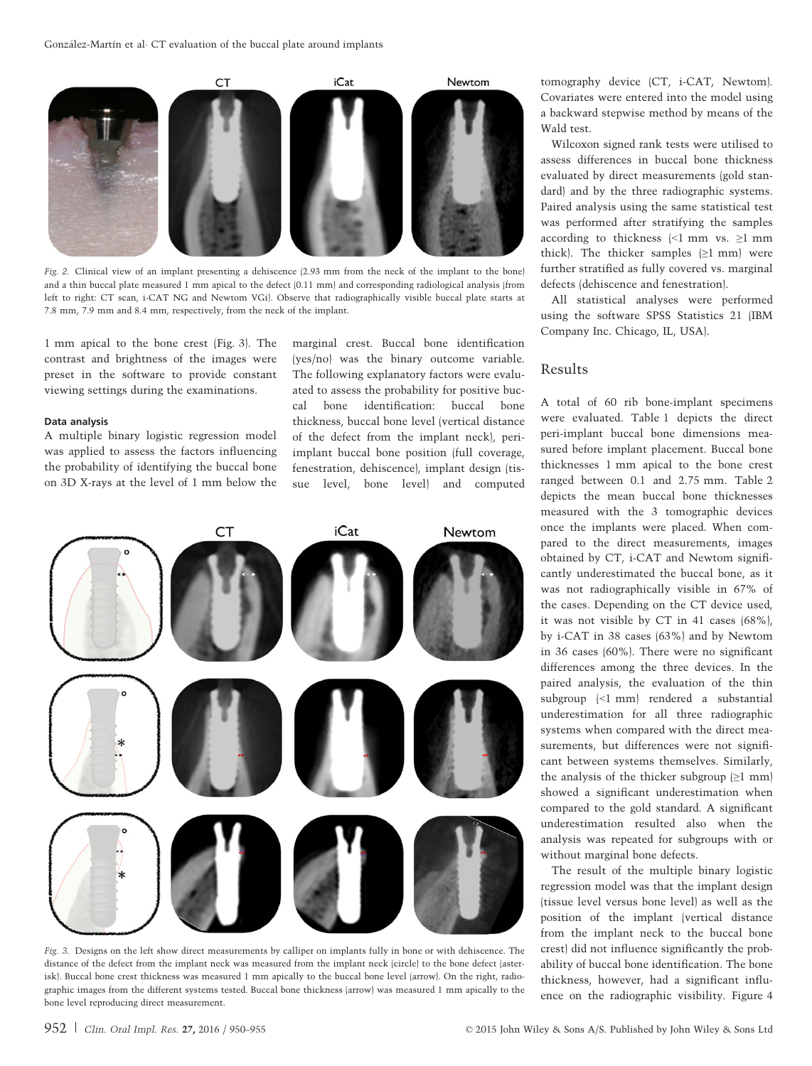

Fig. 2. Clinical view of an implant presenting a dehiscence (2.93 mm from the neck of the implant to the bone) and a thin buccal plate measured 1 mm apical to the defect (0.11 mm) and corresponding radiological analysis (from left to right: CT scan, i-CAT NG and Newtom VGi). Observe that radiographically visible buccal plate starts at 7.8 mm, 7.9 mm and 8.4 mm, respectively, from the neck of the implant.

1 mm apical to the bone crest (Fig. 3). The contrast and brightness of the images were preset in the software to provide constant viewing settings during the examinations.

#### Data analysis

A multiple binary logistic regression model was applied to assess the factors influencing the probability of identifying the buccal bone on 3D X-rays at the level of 1 mm below the marginal crest. Buccal bone identification (yes/no) was the binary outcome variable. The following explanatory factors were evaluated to assess the probability for positive buccal bone identification: buccal bone thickness, buccal bone level (vertical distance of the defect from the implant neck), periimplant buccal bone position (full coverage, fenestration, dehiscence), implant design (tissue level, bone level) and computed



Fig. 3. Designs on the left show direct measurements by calliper on implants fully in bone or with dehiscence. The distance of the defect from the implant neck was measured from the implant neck (circle) to the bone defect (asterisk). Buccal bone crest thickness was measured 1 mm apically to the buccal bone level (arrow). On the right, radiographic images from the different systems tested. Buccal bone thickness (arrow) was measured 1 mm apically to the bone level reproducing direct measurement.

tomography device (CT, i-CAT, Newtom). Covariates were entered into the model using a backward stepwise method by means of the Wald test.

Wilcoxon signed rank tests were utilised to assess differences in buccal bone thickness evaluated by direct measurements (gold standard) and by the three radiographic systems. Paired analysis using the same statistical test was performed after stratifying the samples according to thickness  $\leq 1$  mm vs.  $\geq 1$  mm thick). The thicker samples  $(\geq 1$  mm) were further stratified as fully covered vs. marginal defects (dehiscence and fenestration).

All statistical analyses were performed using the software SPSS Statistics 21 (IBM Company Inc. Chicago, IL, USA).

# Results

A total of 60 rib bone-implant specimens were evaluated. Table 1 depicts the direct peri-implant buccal bone dimensions measured before implant placement. Buccal bone thicknesses 1 mm apical to the bone crest ranged between 0.1 and 2.75 mm. Table 2 depicts the mean buccal bone thicknesses measured with the 3 tomographic devices once the implants were placed. When compared to the direct measurements, images obtained by CT, i-CAT and Newtom significantly underestimated the buccal bone, as it was not radiographically visible in 67% of the cases. Depending on the CT device used, it was not visible by CT in 41 cases (68%), by i-CAT in 38 cases (63%) and by Newtom in 36 cases (60%). There were no significant differences among the three devices. In the paired analysis, the evaluation of the thin subgroup (<1 mm) rendered a substantial underestimation for all three radiographic systems when compared with the direct measurements, but differences were not significant between systems themselves. Similarly, the analysis of the thicker subgroup  $(\geq 1$  mm showed a significant underestimation when compared to the gold standard. A significant underestimation resulted also when the analysis was repeated for subgroups with or without marginal bone defects.

The result of the multiple binary logistic regression model was that the implant design (tissue level versus bone level) as well as the position of the implant (vertical distance from the implant neck to the buccal bone crest) did not influence significantly the probability of buccal bone identification. The bone thickness, however, had a significant influence on the radiographic visibility. Figure 4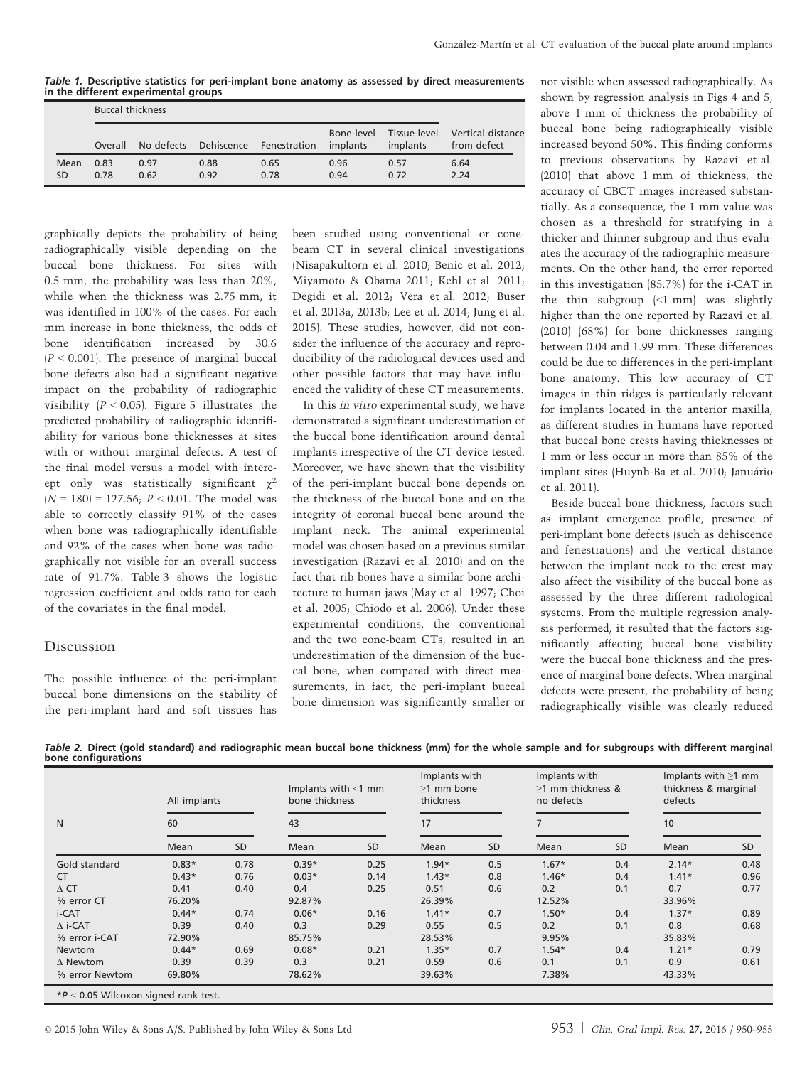Table 1. Descriptive statistics for peri-implant bone anatomy as assessed by direct measurements in the different experimental groups

|            |              | <b>Buccal thickness</b> |              |                                    |                        |              |                                               |  |  |
|------------|--------------|-------------------------|--------------|------------------------------------|------------------------|--------------|-----------------------------------------------|--|--|
|            | Overall      |                         |              | No defects Dehiscence Fenestration | Bone-level<br>implants | implants     | Tissue-level Vertical distance<br>from defect |  |  |
| Mean<br>SD | 0.83<br>0.78 | 0.97<br>0.62            | 0.88<br>0.92 | 0.65<br>0.78                       | 0.96<br>0.94           | 0.57<br>0.72 | 6.64<br>2.24                                  |  |  |

graphically depicts the probability of being radiographically visible depending on the buccal bone thickness. For sites with 0.5 mm, the probability was less than 20%, while when the thickness was 2.75 mm, it was identified in 100% of the cases. For each mm increase in bone thickness, the odds of bone identification increased by 30.6  $(P < 0.001)$ . The presence of marginal buccal bone defects also had a significant negative impact on the probability of radiographic visibility  $(P < 0.05)$ . Figure 5 illustrates the predicted probability of radiographic identifiability for various bone thicknesses at sites with or without marginal defects. A test of the final model versus a model with intercept only was statistically significant  $\gamma^2$  $(N = 180) = 127.56$ ;  $P < 0.01$ . The model was able to correctly classify 91% of the cases when bone was radiographically identifiable and 92% of the cases when bone was radiographically not visible for an overall success rate of 91.7%. Table 3 shows the logistic regression coefficient and odds ratio for each of the covariates in the final model.

## Discussion

The possible influence of the peri-implant buccal bone dimensions on the stability of the peri-implant hard and soft tissues has

been studied using conventional or conebeam CT in several clinical investigations (Nisapakultorn et al. 2010; Benic et al. 2012; Miyamoto & Obama 2011; Kehl et al. 2011; Degidi et al. 2012; Vera et al. 2012; Buser et al. 2013a, 2013b; Lee et al. 2014; Jung et al. 2015). These studies, however, did not consider the influence of the accuracy and reproducibility of the radiological devices used and other possible factors that may have influenced the validity of these CT measurements.

In this in vitro experimental study, we have demonstrated a significant underestimation of the buccal bone identification around dental implants irrespective of the CT device tested. Moreover, we have shown that the visibility of the peri-implant buccal bone depends on the thickness of the buccal bone and on the integrity of coronal buccal bone around the implant neck. The animal experimental model was chosen based on a previous similar investigation (Razavi et al. 2010) and on the fact that rib bones have a similar bone architecture to human jaws (May et al. 1997; Choi et al. 2005; Chiodo et al. 2006). Under these experimental conditions, the conventional and the two cone-beam CTs, resulted in an underestimation of the dimension of the buccal bone, when compared with direct measurements, in fact, the peri-implant buccal bone dimension was significantly smaller or

not visible when assessed radiographically. As shown by regression analysis in Figs 4 and 5, above 1 mm of thickness the probability of buccal bone being radiographically visible increased beyond 50%. This finding conforms to previous observations by Razavi et al. (2010) that above 1 mm of thickness, the accuracy of CBCT images increased substantially. As a consequence, the 1 mm value was chosen as a threshold for stratifying in a thicker and thinner subgroup and thus evaluates the accuracy of the radiographic measurements. On the other hand, the error reported in this investigation (85.7%) for the i-CAT in the thin subgroup (<1 mm) was slightly higher than the one reported by Razavi et al. (2010) (68%) for bone thicknesses ranging between 0.04 and 1.99 mm. These differences could be due to differences in the peri-implant bone anatomy. This low accuracy of CT images in thin ridges is particularly relevant for implants located in the anterior maxilla, as different studies in humans have reported that buccal bone crests having thicknesses of 1 mm or less occur in more than 85% of the implant sites (Huynh-Ba et al. 2010; Januario et al. 2011).

Beside buccal bone thickness, factors such as implant emergence profile, presence of peri-implant bone defects (such as dehiscence and fenestrations) and the vertical distance between the implant neck to the crest may also affect the visibility of the buccal bone as assessed by the three different radiological systems. From the multiple regression analysis performed, it resulted that the factors significantly affecting buccal bone visibility were the buccal bone thickness and the presence of marginal bone defects. When marginal defects were present, the probability of being radiographically visible was clearly reduced

Table 2. Direct (gold standard) and radiographic mean buccal bone thickness (mm) for the whole sample and for subgroups with different marginal bone configurations

|                 | All implants |           | Implants with $\leq$ 1 mm<br>bone thickness |           | Implants with<br>>1 mm bone<br>thickness |           | Implants with<br>>1 mm thickness &<br>no defects |           | Implants with $\geq$ 1 mm<br>thickness & marginal<br>defects |           |
|-----------------|--------------|-----------|---------------------------------------------|-----------|------------------------------------------|-----------|--------------------------------------------------|-----------|--------------------------------------------------------------|-----------|
| N               | 60           |           | 43                                          |           | 17                                       |           | 7                                                |           | 10                                                           |           |
|                 | Mean         | <b>SD</b> | Mean                                        | <b>SD</b> | Mean                                     | <b>SD</b> | Mean                                             | <b>SD</b> | Mean                                                         | <b>SD</b> |
| Gold standard   | $0.83*$      | 0.78      | $0.39*$                                     | 0.25      | $1.94*$                                  | 0.5       | $1.67*$                                          | 0.4       | $2.14*$                                                      | 0.48      |
| <b>CT</b>       | $0.43*$      | 0.76      | $0.03*$                                     | 0.14      | $1.43*$                                  | 0.8       | $1.46*$                                          | 0.4       | $1.41*$                                                      | 0.96      |
| $\triangle$ CT  | 0.41         | 0.40      | 0.4                                         | 0.25      | 0.51                                     | 0.6       | 0.2                                              | 0.1       | 0.7                                                          | 0.77      |
| % error CT      | 76.20%       |           | 92.87%                                      |           | 26.39%                                   |           | 12.52%                                           |           | 33.96%                                                       |           |
| i-CAT           | $0.44*$      | 0.74      | $0.06*$                                     | 0.16      | $1.41*$                                  | 0.7       | $1.50*$                                          | 0.4       | $1.37*$                                                      | 0.89      |
| $\Delta$ i-CAT  | 0.39         | 0.40      | 0.3                                         | 0.29      | 0.55                                     | 0.5       | 0.2                                              | 0.1       | 0.8                                                          | 0.68      |
| % error i-CAT   | 72.90%       |           | 85.75%                                      |           | 28.53%                                   |           | 9.95%                                            |           | 35.83%                                                       |           |
| <b>Newtom</b>   | $0.44*$      | 0.69      | $0.08*$                                     | 0.21      | $1.35*$                                  | 0.7       | $1.54*$                                          | 0.4       | $1.21*$                                                      | 0.79      |
| $\Delta$ Newtom | 0.39         | 0.39      | 0.3                                         | 0.21      | 0.59                                     | 0.6       | 0.1                                              | 0.1       | 0.9                                                          | 0.61      |
| % error Newtom  | 69.80%       |           | 78.62%                                      |           | 39.63%                                   |           | 7.38%                                            |           | 43.33%                                                       |           |

 $*P < 0.05$  Wilcoxon signed rank test.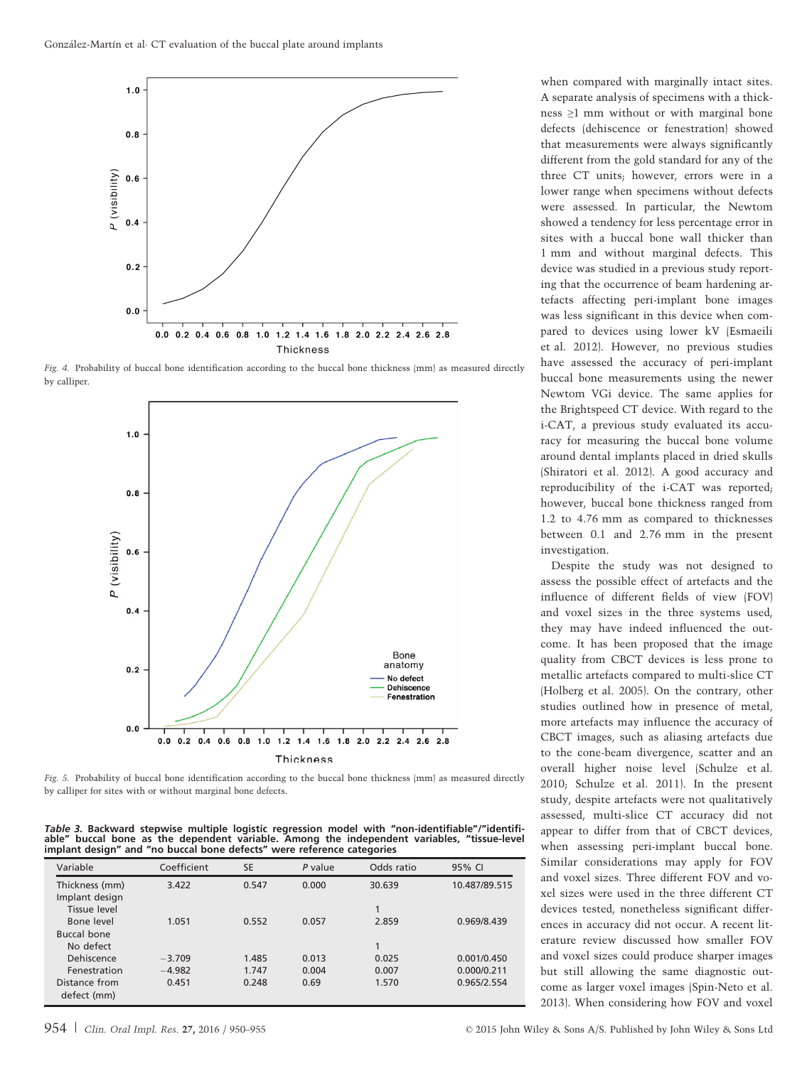

Fig. 4. Probability of buccal bone identification according to the buccal bone thickness (mm) as measured directly by calliper.



Fig. 5. Probability of buccal bone identification according to the buccal bone thickness (mm) as measured directly by calliper for sites with or without marginal bone defects.

Table 3. Backward stepwise multiple logistic regression model with "non-identifiable"/"identifi-<br>able" buccal bone as the dependent variable. Among the independent variables "tissue-level buccal bone as the dependent variable. Among the independent variables, "tissue-level implant design" and "no buccal bone defects" were reference categories

| Variable                         | Coefficient | <b>SE</b> | P value | Odds ratio | 95% CI        |
|----------------------------------|-------------|-----------|---------|------------|---------------|
| Thickness (mm)<br>Implant design | 3.422       | 0.547     | 0.000   | 30.639     | 10.487/89.515 |
| Tissue level<br>Bone level       | 1.051       | 0.552     | 0.057   | 2.859      | 0.969/8.439   |
| <b>Buccal bone</b>               |             |           |         |            |               |
| No defect                        |             |           |         |            |               |
| Dehiscence                       | $-3.709$    | 1.485     | 0.013   | 0.025      | 0.001/0.450   |
| Fenestration                     | $-4.982$    | 1.747     | 0.004   | 0.007      | 0.000/0.211   |
| Distance from<br>defect (mm)     | 0.451       | 0.248     | 0.69    | 1.570      | 0.965/2.554   |

when compared with marginally intact sites. A separate analysis of specimens with a thickness ≥1 mm without or with marginal bone defects (dehiscence or fenestration) showed that measurements were always significantly different from the gold standard for any of the three CT units; however, errors were in a lower range when specimens without defects were assessed. In particular, the Newtom showed a tendency for less percentage error in sites with a buccal bone wall thicker than 1 mm and without marginal defects. This device was studied in a previous study reporting that the occurrence of beam hardening artefacts affecting peri-implant bone images was less significant in this device when compared to devices using lower kV (Esmaeili et al. 2012). However, no previous studies have assessed the accuracy of peri-implant buccal bone measurements using the newer Newtom VGi device. The same applies for the Brightspeed CT device. With regard to the i-CAT, a previous study evaluated its accuracy for measuring the buccal bone volume around dental implants placed in dried skulls (Shiratori et al. 2012). A good accuracy and reproducibility of the i-CAT was reported; however, buccal bone thickness ranged from 1.2 to 4.76 mm as compared to thicknesses between 0.1 and 2.76 mm in the present investigation.

Despite the study was not designed to assess the possible effect of artefacts and the influence of different fields of view (FOV) and voxel sizes in the three systems used, they may have indeed influenced the outcome. It has been proposed that the image quality from CBCT devices is less prone to metallic artefacts compared to multi-slice CT (Holberg et al. 2005). On the contrary, other studies outlined how in presence of metal, more artefacts may influence the accuracy of CBCT images, such as aliasing artefacts due to the cone-beam divergence, scatter and an overall higher noise level (Schulze et al. 2010; Schulze et al. 2011). In the present study, despite artefacts were not qualitatively assessed, multi-slice CT accuracy did not appear to differ from that of CBCT devices, when assessing peri-implant buccal bone. Similar considerations may apply for FOV and voxel sizes. Three different FOV and voxel sizes were used in the three different CT devices tested, nonetheless significant differences in accuracy did not occur. A recent literature review discussed how smaller FOV and voxel sizes could produce sharper images but still allowing the same diagnostic outcome as larger voxel images (Spin-Neto et al. 2013). When considering how FOV and voxel